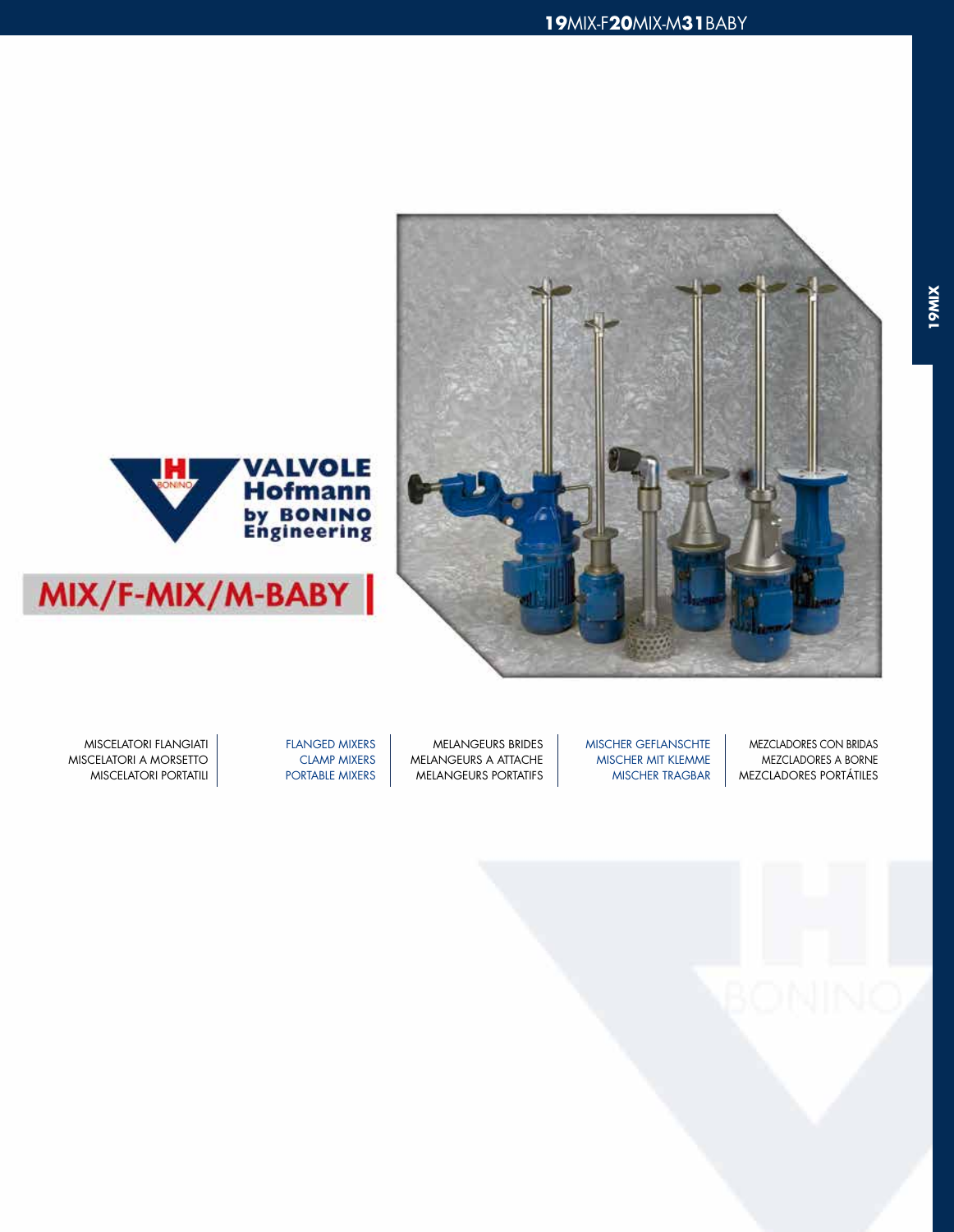



# MIX/F-MIX/M-BABY

 MEZCLADORES CON BRIDAS MEZCLADORES A BORNE MEZCLADORES PORTÁTILES

MISCHER GEFLANSCHTE MISCHER MIT KLEMME MISCHER TRAGBAR

MELANGEURS BRIDES MELANGEURS A ATTACHE MELANGEURS PORTATIFS

FLANGED MIXERS CLAMP MIXERS PORTABLE MIXERS

MISCELATORI FLANGIATI MISCELATORI A MORSETTO MISCELATORI PORTATILI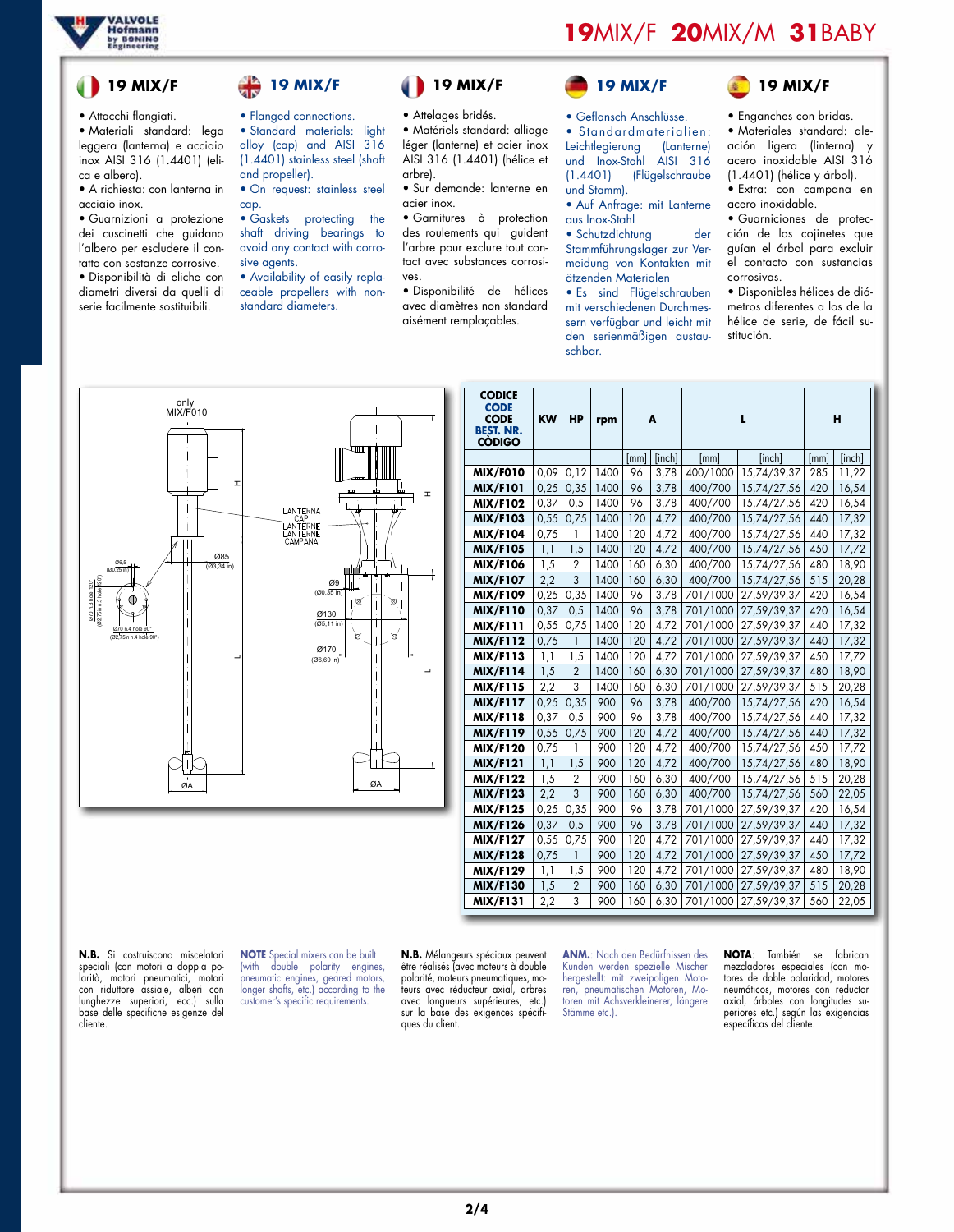

## **19 MIX/F**

• Attacchi flangiati.

• Materiali standard: lega leggera (lanterna) e acciaio inox AISI 316 (1.4401) (elica e albero).

• A richiesta: con lanterna in acciaio inox.

• Guarnizioni a protezione dei cuscinetti che guidano l'albero per escludere il contatto con sostanze corrosive. • Disponibilità di eliche con

diametri diversi da quelli di serie facilmente sostituibili.

## **19 MIX/F**

• Attelages bridés.

• Flanged connections. • Standard materials: light alloy (cap) and AISI 316 (1.4401) stainless steel (shaft and propeller).

• On request: stainless steel cap.

**19 MIX/F** 

• Gaskets protecting the shaft driving bearings to avoid any contact with corrosive agents.

• Availability of easily replaceable propellers with nonstandard diameters.

• Matériels standard: alliage léger (lanterne) et acier inox AISI 316 (1.4401) (hélice et

arbre). • Sur demande: lanterne en acier inox.

• Garnitures à protection des roulements qui guident l'arbre pour exclure tout contact avec substances corrosives.

• Disponibilité de hélices avec diamètres non standard aisément remplaçables.

**CODICE**



• Geflansch Anschlüsse.

• Standardmaterialien: Leichtlegierung (Lanterne) und Inox-Stahl AISI 316 (1.4401) (Flügelschraube und Stamm).

• Auf Anfrage: mit Lanterne aus Inox-Stahl

• Schutzdichtung der Stammführungslager zur Vermeidung von Kontakten mit ätzenden Materialen

• Es sind Flügelschrauben mit verschiedenen Durchmessern verfügbar und leicht mit den serienmäßigen austauschbar.

## **19 MIX/F**

**19**MIX/F **20**MIX/M **31**BABY

• Enganches con bridas. • Materiales standard: aleación ligera (linterna) y acero inoxidable AISI 316

(1.4401) (hélice y árbol). • Extra: con campana en acero inoxidable.

• Guarniciones de protección de los cojinetes que guían el árbol para excluir el contacto con sustancias corrosivas.

• Disponibles hélices de diámetros diferentes a los de la hélice de serie, de fácil sustitución.



| [inch]<br>[inch]<br>[inch]<br>[mm]<br>[mm]<br>[mm]<br>0,12<br>1400<br>15,74/39,37<br><b>MIX/F010</b><br>0,09<br>96<br>3,78<br>400/1000<br>285<br>11,22<br>0,25<br>0,35<br>1400<br>96<br>400/700<br>3,78<br>15,74/27,56<br>420<br>16,54<br><b>MIX/F101</b><br><b>MIX/F102</b><br>0,37<br>96<br>3,78<br>420<br>16,54<br>0,5<br>1400<br>400/700<br>15,74/27,56<br>0,55<br>120<br>17,32<br><b>MIX/F103</b><br>0,75<br>1400<br>4,72<br>400/700<br>15,74/27,56<br>440<br>0,75<br>120<br><b>MIX/F104</b><br>1<br>1400<br>4,72<br>400/700<br>15,74/27,56<br>440<br>17,32<br><b>MIX/F105</b><br>1,1<br>1,5<br>1400<br>120<br>4,72<br>400/700<br>15,74/27,56<br>450<br>17,72<br>1,5<br><b>MIX/F106</b><br>160<br>6,30<br>2<br>1400<br>400/700<br>15,74/27,56<br>480<br>18,90<br>3<br>2,2<br>6,30<br><b>MIX/F107</b><br>1400<br>160<br>400/700<br>15,74/27,56<br>515<br>20,28<br>0,25<br>0,35<br><b>MIX/F109</b><br>1400<br>96<br>3,78<br>701/1000<br>16,54<br>27,59/39,37<br>420<br>0,37<br>0,5<br>96<br>3,78<br>701/1000<br>420<br>16,54<br>1400<br>27,59/39,37<br><b>MIX/F110</b><br>0,55<br>120<br>1400<br>701/1000<br>27,59/39,37<br>440<br>17,32<br><b>MIX/F111</b><br>0,75<br>4,72<br><b>MIX/F112</b><br>0,75<br>120<br>27,59/39,37<br>17,32<br>1<br>1400<br>4,72<br>701/1000<br>440<br>120<br><b>MIX/F113</b><br>1,1<br>1,5<br>1400<br>4,72<br>701/1000<br>27,59/39,37<br>450<br>17,72<br>$\overline{2}$<br>1,5<br>6,30<br><b>MIX/F114</b><br>1400<br>160<br>701/1000<br>27,59/39,37<br>480<br>18,90<br>3<br>2,2<br>6,30<br>701/1000<br><b>MIX/F115</b><br>1400<br>160<br>27,59/39,37<br>515<br>20,28 | H |  |
|----------------------------------------------------------------------------------------------------------------------------------------------------------------------------------------------------------------------------------------------------------------------------------------------------------------------------------------------------------------------------------------------------------------------------------------------------------------------------------------------------------------------------------------------------------------------------------------------------------------------------------------------------------------------------------------------------------------------------------------------------------------------------------------------------------------------------------------------------------------------------------------------------------------------------------------------------------------------------------------------------------------------------------------------------------------------------------------------------------------------------------------------------------------------------------------------------------------------------------------------------------------------------------------------------------------------------------------------------------------------------------------------------------------------------------------------------------------------------------------------------------------------------------------------------------------------------------------------------|---|--|
|                                                                                                                                                                                                                                                                                                                                                                                                                                                                                                                                                                                                                                                                                                                                                                                                                                                                                                                                                                                                                                                                                                                                                                                                                                                                                                                                                                                                                                                                                                                                                                                                    |   |  |
|                                                                                                                                                                                                                                                                                                                                                                                                                                                                                                                                                                                                                                                                                                                                                                                                                                                                                                                                                                                                                                                                                                                                                                                                                                                                                                                                                                                                                                                                                                                                                                                                    |   |  |
|                                                                                                                                                                                                                                                                                                                                                                                                                                                                                                                                                                                                                                                                                                                                                                                                                                                                                                                                                                                                                                                                                                                                                                                                                                                                                                                                                                                                                                                                                                                                                                                                    |   |  |
|                                                                                                                                                                                                                                                                                                                                                                                                                                                                                                                                                                                                                                                                                                                                                                                                                                                                                                                                                                                                                                                                                                                                                                                                                                                                                                                                                                                                                                                                                                                                                                                                    |   |  |
|                                                                                                                                                                                                                                                                                                                                                                                                                                                                                                                                                                                                                                                                                                                                                                                                                                                                                                                                                                                                                                                                                                                                                                                                                                                                                                                                                                                                                                                                                                                                                                                                    |   |  |
|                                                                                                                                                                                                                                                                                                                                                                                                                                                                                                                                                                                                                                                                                                                                                                                                                                                                                                                                                                                                                                                                                                                                                                                                                                                                                                                                                                                                                                                                                                                                                                                                    |   |  |
|                                                                                                                                                                                                                                                                                                                                                                                                                                                                                                                                                                                                                                                                                                                                                                                                                                                                                                                                                                                                                                                                                                                                                                                                                                                                                                                                                                                                                                                                                                                                                                                                    |   |  |
|                                                                                                                                                                                                                                                                                                                                                                                                                                                                                                                                                                                                                                                                                                                                                                                                                                                                                                                                                                                                                                                                                                                                                                                                                                                                                                                                                                                                                                                                                                                                                                                                    |   |  |
|                                                                                                                                                                                                                                                                                                                                                                                                                                                                                                                                                                                                                                                                                                                                                                                                                                                                                                                                                                                                                                                                                                                                                                                                                                                                                                                                                                                                                                                                                                                                                                                                    |   |  |
|                                                                                                                                                                                                                                                                                                                                                                                                                                                                                                                                                                                                                                                                                                                                                                                                                                                                                                                                                                                                                                                                                                                                                                                                                                                                                                                                                                                                                                                                                                                                                                                                    |   |  |
|                                                                                                                                                                                                                                                                                                                                                                                                                                                                                                                                                                                                                                                                                                                                                                                                                                                                                                                                                                                                                                                                                                                                                                                                                                                                                                                                                                                                                                                                                                                                                                                                    |   |  |
|                                                                                                                                                                                                                                                                                                                                                                                                                                                                                                                                                                                                                                                                                                                                                                                                                                                                                                                                                                                                                                                                                                                                                                                                                                                                                                                                                                                                                                                                                                                                                                                                    |   |  |
|                                                                                                                                                                                                                                                                                                                                                                                                                                                                                                                                                                                                                                                                                                                                                                                                                                                                                                                                                                                                                                                                                                                                                                                                                                                                                                                                                                                                                                                                                                                                                                                                    |   |  |
|                                                                                                                                                                                                                                                                                                                                                                                                                                                                                                                                                                                                                                                                                                                                                                                                                                                                                                                                                                                                                                                                                                                                                                                                                                                                                                                                                                                                                                                                                                                                                                                                    |   |  |
|                                                                                                                                                                                                                                                                                                                                                                                                                                                                                                                                                                                                                                                                                                                                                                                                                                                                                                                                                                                                                                                                                                                                                                                                                                                                                                                                                                                                                                                                                                                                                                                                    |   |  |
|                                                                                                                                                                                                                                                                                                                                                                                                                                                                                                                                                                                                                                                                                                                                                                                                                                                                                                                                                                                                                                                                                                                                                                                                                                                                                                                                                                                                                                                                                                                                                                                                    |   |  |
| 0,35<br>0,25<br>900<br>16,54<br><b>MIX/F117</b><br>96<br>3,78<br>400/700<br>15,74/27,56<br>420                                                                                                                                                                                                                                                                                                                                                                                                                                                                                                                                                                                                                                                                                                                                                                                                                                                                                                                                                                                                                                                                                                                                                                                                                                                                                                                                                                                                                                                                                                     |   |  |
| 0,37<br>900<br>17,32<br><b>MIX/F118</b><br>0,5<br>96<br>3,78<br>400/700<br>15,74/27,56<br>440                                                                                                                                                                                                                                                                                                                                                                                                                                                                                                                                                                                                                                                                                                                                                                                                                                                                                                                                                                                                                                                                                                                                                                                                                                                                                                                                                                                                                                                                                                      |   |  |
| 0,55<br>900<br>120<br>4,72<br><b>MIX/F119</b><br>0,75<br>400/700<br>15,74/27,56<br>440<br>17,32                                                                                                                                                                                                                                                                                                                                                                                                                                                                                                                                                                                                                                                                                                                                                                                                                                                                                                                                                                                                                                                                                                                                                                                                                                                                                                                                                                                                                                                                                                    |   |  |
| 0,75<br>1<br>900<br>120<br>4,72<br>400/700<br>15,74/27,56<br>450<br>17,72<br><b>MIX/F120</b>                                                                                                                                                                                                                                                                                                                                                                                                                                                                                                                                                                                                                                                                                                                                                                                                                                                                                                                                                                                                                                                                                                                                                                                                                                                                                                                                                                                                                                                                                                       |   |  |
| 900<br>120<br>4,72<br>400/700<br>480<br>18,90<br><b>MIX/F121</b><br>1,1<br>1,5<br>15,74/27,56                                                                                                                                                                                                                                                                                                                                                                                                                                                                                                                                                                                                                                                                                                                                                                                                                                                                                                                                                                                                                                                                                                                                                                                                                                                                                                                                                                                                                                                                                                      |   |  |
| <b>MIX/F122</b><br>1,5<br>2<br>900<br>6,30<br>400/700<br>515<br>160<br>15,74/27,56<br>20,28                                                                                                                                                                                                                                                                                                                                                                                                                                                                                                                                                                                                                                                                                                                                                                                                                                                                                                                                                                                                                                                                                                                                                                                                                                                                                                                                                                                                                                                                                                        |   |  |
| 3<br>900<br><b>MIX/F123</b><br>2,2<br>160<br>6,30<br>400/700<br>15,74/27,56<br>560<br>22,05                                                                                                                                                                                                                                                                                                                                                                                                                                                                                                                                                                                                                                                                                                                                                                                                                                                                                                                                                                                                                                                                                                                                                                                                                                                                                                                                                                                                                                                                                                        |   |  |
| 0,35<br>0,25<br>900<br>3,78<br><b>MIX/F125</b><br>96<br>701/1000<br>27,59/39,37<br>420<br>16,54                                                                                                                                                                                                                                                                                                                                                                                                                                                                                                                                                                                                                                                                                                                                                                                                                                                                                                                                                                                                                                                                                                                                                                                                                                                                                                                                                                                                                                                                                                    |   |  |
| 900<br><b>MIX/F126</b><br>0,37<br>96<br>3,78<br>701/1000<br>0,5<br>27,59/39,37<br>440<br>17,32                                                                                                                                                                                                                                                                                                                                                                                                                                                                                                                                                                                                                                                                                                                                                                                                                                                                                                                                                                                                                                                                                                                                                                                                                                                                                                                                                                                                                                                                                                     |   |  |
| 0,55<br>900<br>120<br>701/1000<br>17,32<br><b>MIX/F127</b><br>0,75<br>4,72<br>27,59/39,37<br>440                                                                                                                                                                                                                                                                                                                                                                                                                                                                                                                                                                                                                                                                                                                                                                                                                                                                                                                                                                                                                                                                                                                                                                                                                                                                                                                                                                                                                                                                                                   |   |  |
| <b>MIX/F128</b><br>0,75<br>1<br>900<br>120<br>4,72<br>701/1000<br>27,59/39,37<br>450<br>17,72                                                                                                                                                                                                                                                                                                                                                                                                                                                                                                                                                                                                                                                                                                                                                                                                                                                                                                                                                                                                                                                                                                                                                                                                                                                                                                                                                                                                                                                                                                      |   |  |
| 900<br>120<br>701/1000<br><b>MIX/F129</b><br>1,1<br>1,5<br>4,72<br>27,59/39,37<br>480<br>18,90                                                                                                                                                                                                                                                                                                                                                                                                                                                                                                                                                                                                                                                                                                                                                                                                                                                                                                                                                                                                                                                                                                                                                                                                                                                                                                                                                                                                                                                                                                     |   |  |
| $\overline{2}$<br>900<br>6,30<br>701/1000<br>515<br>1,5<br>160<br>27,59/39,37<br>20,28<br><b>MIX/F130</b>                                                                                                                                                                                                                                                                                                                                                                                                                                                                                                                                                                                                                                                                                                                                                                                                                                                                                                                                                                                                                                                                                                                                                                                                                                                                                                                                                                                                                                                                                          |   |  |
| 3<br>160<br>701/1000<br>560<br>2,2<br>900<br>6,30<br>27,59/39,37<br>22,05<br><b>MIX/F131</b>                                                                                                                                                                                                                                                                                                                                                                                                                                                                                                                                                                                                                                                                                                                                                                                                                                                                                                                                                                                                                                                                                                                                                                                                                                                                                                                                                                                                                                                                                                       |   |  |

**N.B.** Si costruiscono miscelatori speciali (con motori a doppia polarità, motori pneumatici, motori con riduttore assiale, alberi con lunghezze superiori, ecc.) sulla base delle specifiche esigenze del cliente.

**NOTE** Special mixers can be built (with double polarity engines, pneumatic engines, geared motors, longer shafts, etc.) according to the customer's specific requirements.

**N.B.** Mélangeurs spéciaux peuvent être réalisés (avec moteurs à double polarité, moteurs pneumatiques, mo-teurs avec réducteur axial, arbres avec longueurs supérieures, etc.) sur la base des exigences spécifiques du client.

**ANM.**: Nach den Bedürfnissen des Kunden werden spezielle Mischer hergestellt: mit zweipoligen Motoren, pneumatischen Motoren, Motoren mit Achsverkleinerer, längere Stämme etc.).

**NOTA**: También se fabrican mezcladores especiales (con motores de doble polaridad, motores neumáticos, motores con reductor axial, árboles con longitudes superiores etc.) según las exigencias específicas del cliente.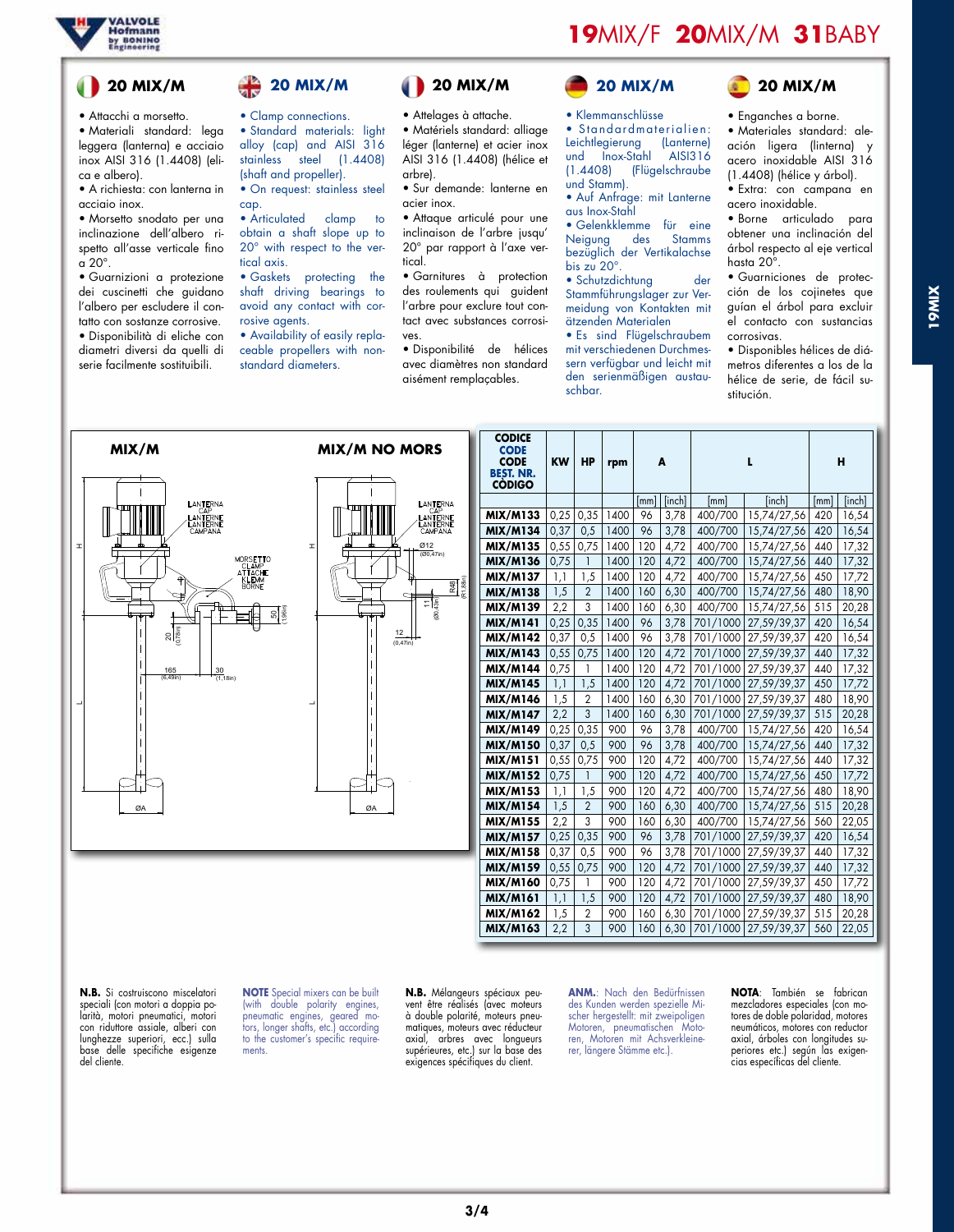

## **20 MIX/M**

• Attacchi a morsetto.

• Materiali standard: lega leggera (lanterna) e acciaio inox AISI 316 (1.4408) (elica e albero).

• A richiesta: con lanterna in acciaio inox.

• Morsetto snodato per una inclinazione dell'albero rispetto all'asse verticale fino  $\alpha$  20 $^{\circ}$ .

• Guarnizioni a protezione dei cuscinetti che guidano l'albero per escludere il contatto con sostanze corrosive. • Disponibilità di eliche con diametri diversi da quelli di serie facilmente sostituibili.

H

 $\overline{\phantom{0}}$ 

# **20 MIX/M**

• Clamp connections. • Standard materials: light alloy (cap) and AISI 316 stainless steel (1.4408) (shaft and propeller). • On request: stainless steel

cap.<br>• Articulated clamp to

obtain a shaft slope up to 20° with respect to the vertical axis.

• Gaskets protecting the shaft driving bearings to avoid any contact with corrosive agents.

• Availability of easily replaceable propellers with nonstandard diameters.

#### **1** 20 MIX/M

• Attelages à attache. • Matériels standard: alliage léger (lanterne) et acier inox

AISI 316 (1.4408) (hélice et arbre). • Sur demande: lanterne en acier inox.

• Attaque articulé pour une inclinaison de l'arbre jusqu' 20° par rapport à l'axe vertical.

• Garnitures à protection des roulements qui guident l'arbre pour exclure tout contact avec substances corrosives.

• Disponibilité de hélices avec diamètres non standard aisément remplaçables.



#### • Klemmanschlüsse

• Standardmaterialien:<br>Leichtlegierung (Lanterne) Leichtlegierung (Lanterne)<br>und Inox-Stahl AISI316 und Inox-Stahl<br>(1.4408) (Flüg (Flügelschraube und Stamm).

• Auf Anfrage: mit Lanterne aus Inox-Stahl

• Gelenkklemme für eine<br>Neigung des Stamms Neigung des bezüglich der Vertikalachse bis zu 20°.

• Schutzdichtung der Stammführungslager zur Vermeidung von Kontakten mit ätzenden Materialen

• Es sind Flügelschraubem mit verschiedenen Durchmessern verfügbar und leicht mit den serienmäßigen austauschbar.

• Enganches a borne.

 **20 MIX/M**

• Materiales standard: aleación ligera (linterna) y acero inoxidable AISI 316 (1.4408) (hélice y árbol).

• Extra: con campana en acero inoxidable.

• Borne articulado para obtener una inclinación del árbol respecto al eje vertical hasta 20°.

• Guarniciones de protección de los cojinetes que guían el árbol para excluir el contacto con sustancias corrosivas.

• Disponibles hélices de diámetros diferentes a los de la hélice de serie, de fácil sustitución.





| <b>CODICE</b><br><b>CODE</b><br><b>CODE</b><br><b>BEST. NR.</b><br><b>CÓDIGO</b> | <b>KW</b> | <b>HP</b>      | rpm  | A    |        | L        |             | н    |        |
|----------------------------------------------------------------------------------|-----------|----------------|------|------|--------|----------|-------------|------|--------|
|                                                                                  |           |                |      | [mm] | [inch] | [mm]     | [inch]      | [mm] | [inch] |
| <b>MIX/M133</b>                                                                  | 0,25      | 0,35           | 1400 | 96   | 3,78   | 400/700  | 15,74/27,56 | 420  | 16,54  |
| <b>MIX/M134</b>                                                                  | 0,37      | 0,5            | 1400 | 96   | 3,78   | 400/700  | 15,74/27,56 | 420  | 16,54  |
| <b>MIX/M135</b>                                                                  | 0,55      | 0,75           | 1400 | 120  | 4,72   | 400/700  | 15,74/27,56 | 440  | 17,32  |
| <b>MIX/M136</b>                                                                  | 0,75      | 1              | 1400 | 120  | 4,72   | 400/700  | 15,74/27,56 | 440  | 17,32  |
| <b>MIX/M137</b>                                                                  | 1,1       | 1,5            | 1400 | 120  | 4,72   | 400/700  | 15,74/27,56 | 450  | 17,72  |
| <b>MIX/M138</b>                                                                  | 1,5       | $\overline{2}$ | 1400 | 160  | 6,30   | 400/700  | 15,74/27,56 | 480  | 18,90  |
| <b>MIX/M139</b>                                                                  | 2,2       | 3              | 1400 | 160  | 6,30   | 400/700  | 15,74/27,56 | 515  | 20,28  |
| <b>MIX/M141</b>                                                                  | 0,25      | 0,35           | 1400 | 96   | 3,78   | 701/1000 | 27,59/39,37 | 420  | 16,54  |
| <b>MIX/M142</b>                                                                  | 0,37      | 0,5            | 1400 | 96   | 3,78   | 701/1000 | 27,59/39,37 | 420  | 16,54  |
| <b>MIX/M143</b>                                                                  | 0,55      | 0,75           | 1400 | 120  | 4,72   | 701/1000 | 27,59/39,37 | 440  | 17,32  |
| <b>MIX/M144</b>                                                                  | 0,75      | 1              | 1400 | 120  | 4,72   | 701/1000 | 27,59/39,37 | 440  | 17,32  |
| <b>MIX/M145</b>                                                                  | 1,1       | 1,5            | 1400 | 120  | 4,72   | 701/1000 | 27,59/39,37 | 450  | 17,72  |
| <b>MIX/M146</b>                                                                  | 1,5       | 2              | 1400 | 160  | 6,30   | 701/1000 | 27,59/39,37 | 480  | 18,90  |
| <b>MIX/M147</b>                                                                  | 2,2       | 3              | 1400 | 160  | 6,30   | 701/1000 | 27,59/39,37 | 515  | 20,28  |
| <b>MIX/M149</b>                                                                  | 0,25      | 0,35           | 900  | 96   | 3,78   | 400/700  | 15,74/27,56 | 420  | 16,54  |
| <b>MIX/M150</b>                                                                  | 0,37      | 0,5            | 900  | 96   | 3,78   | 400/700  | 15,74/27,56 | 440  | 17,32  |
| <b>MIX/M151</b>                                                                  | 0,55      | 0,75           | 900  | 120  | 4,72   | 400/700  | 15,74/27,56 | 440  | 17,32  |
| <b>MIX/M152</b>                                                                  | 0,75      | 1              | 900  | 120  | 4,72   | 400/700  | 15,74/27,56 | 450  | 17,72  |
| <b>MIX/M153</b>                                                                  | 1,1       | 1,5            | 900  | 120  | 4,72   | 400/700  | 15,74/27,56 | 480  | 18,90  |
| <b>MIX/M154</b>                                                                  | 1,5       | $\overline{2}$ | 900  | 160  | 6,30   | 400/700  | 15,74/27,56 | 515  | 20,28  |
| <b>MIX/M155</b>                                                                  | 2,2       | 3              | 900  | 160  | 6,30   | 400/700  | 15,74/27,56 | 560  | 22,05  |
| <b>MIX/M157</b>                                                                  | 0,25      | 0,35           | 900  | 96   | 3,78   | 701/1000 | 27,59/39,37 | 420  | 16,54  |
| <b>MIX/M158</b>                                                                  | 0,37      | 0,5            | 900  | 96   | 3,78   | 701/1000 | 27,59/39,37 | 440  | 17,32  |
| <b>MIX/M159</b>                                                                  | 0,55      | 0,75           | 900  | 120  | 4,72   | 701/1000 | 27,59/39,37 | 440  | 17,32  |
| <b>MIX/M160</b>                                                                  | 0,75      | 1              | 900  | 120  | 4,72   | 701/1000 | 27,59/39,37 | 450  | 17,72  |
| <b>MIX/M161</b>                                                                  | 1,1       | 1,5            | 900  | 120  | 4,72   | 701/1000 | 27,59/39,37 | 480  | 18,90  |
| <b>MIX/M162</b>                                                                  | 1,5       | $\overline{2}$ | 900  | 160  | 6,30   | 701/1000 | 27,59/39,37 | 515  | 20,28  |
| <b>MIX/M163</b>                                                                  | 2,2       | 3              | 900  | 160  | 6,30   | 701/1000 | 27,59/39,37 | 560  | 22,05  |

**N.B.** Si costruiscono miscelatori speciali (con motori a doppia po-larità, motori pneumatici, motori con riduttore assiale, alberi con lunghezze superiori, ecc.) sulla base delle specifiche esigenze del cliente.

**NOTE** Special mixers can be built (with double polarity engines, pneumatic engines, geared mo-tors, longer shafts, etc.) according to the customer's specific requirements.

**N.B.** Mélangeurs spéciaux peuvent être réalisés (avec moteurs à double polarité, moteurs pneumatiques, moteurs avec réducteur axial, arbres avec longueurs supérieures, etc.) sur la base des exigences spécifiques du client.

**ANM.**: Nach den Bedürfnissen des Kunden werden spezielle Mi-scher hergestellt: mit zweipoligen Motoren, pneumatischen Moto-ren, Motoren mit Achsverkleinerer, längere Stämme etc.).

**NOTA**: También se fabrican mezcladores especiales (con mo-tores de doble polaridad, motores neumáticos, motores con reductor axial, árboles con longitudes superiores etc.) según las exigencias específicas del cliente.